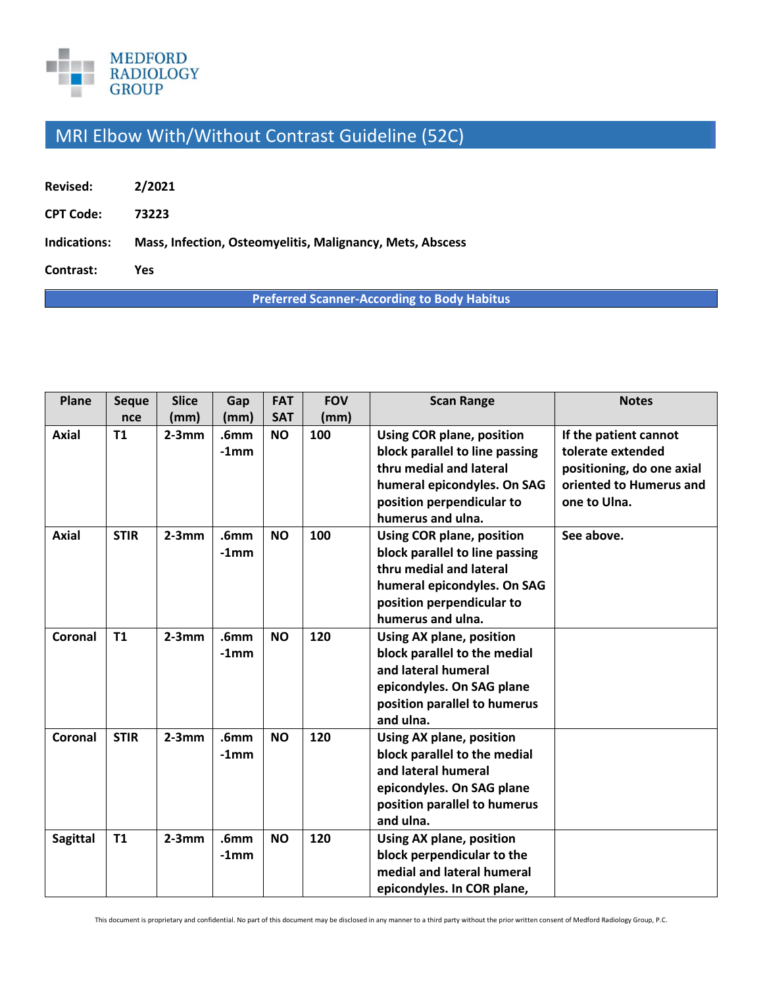

## MRI Elbow With/Without Contrast Guideline (52C)

| Revised:         | 2/2021                                                    |
|------------------|-----------------------------------------------------------|
| <b>CPT Code:</b> | 73223                                                     |
| Indications:     | Mass, Infection, Osteomyelitis, Malignancy, Mets, Abscess |
| Contrast:        | Yes                                                       |

**Preferred Scanner-According to Body Habitus**

| Plane           | <b>Seque</b> | <b>Slice</b> | Gap                         | <b>FAT</b> | <b>FOV</b> | <b>Scan Range</b>                                                                                                                                                              | <b>Notes</b>                                                                                                       |
|-----------------|--------------|--------------|-----------------------------|------------|------------|--------------------------------------------------------------------------------------------------------------------------------------------------------------------------------|--------------------------------------------------------------------------------------------------------------------|
|                 | nce          | (mm)         | (mm)                        | <b>SAT</b> | (mm)       |                                                                                                                                                                                |                                                                                                                    |
| <b>Axial</b>    | <b>T1</b>    | $2-3mm$      | .6 <sub>mm</sub><br>$-1mm$  | <b>NO</b>  | 100        | <b>Using COR plane, position</b><br>block parallel to line passing<br>thru medial and lateral<br>humeral epicondyles. On SAG<br>position perpendicular to<br>humerus and ulna. | If the patient cannot<br>tolerate extended<br>positioning, do one axial<br>oriented to Humerus and<br>one to Ulna. |
| <b>Axial</b>    | <b>STIR</b>  | $2-3mm$      | .6 <sub>mm</sub><br>$-1mm$  | <b>NO</b>  | 100        | <b>Using COR plane, position</b><br>block parallel to line passing<br>thru medial and lateral<br>humeral epicondyles. On SAG<br>position perpendicular to<br>humerus and ulna. | See above.                                                                                                         |
| Coronal         | <b>T1</b>    | $2-3mm$      | .6 <sub>mm</sub><br>$-1$ mm | <b>NO</b>  | 120        | <b>Using AX plane, position</b><br>block parallel to the medial<br>and lateral humeral<br>epicondyles. On SAG plane<br>position parallel to humerus<br>and ulna.               |                                                                                                                    |
| Coronal         | <b>STIR</b>  | $2-3mm$      | .6 <sub>mm</sub><br>$-1mm$  | <b>NO</b>  | 120        | <b>Using AX plane, position</b><br>block parallel to the medial<br>and lateral humeral<br>epicondyles. On SAG plane<br>position parallel to humerus<br>and ulna.               |                                                                                                                    |
| <b>Sagittal</b> | <b>T1</b>    | $2-3mm$      | .6 <sub>mm</sub><br>$-1$ mm | <b>NO</b>  | 120        | <b>Using AX plane, position</b><br>block perpendicular to the<br>medial and lateral humeral<br>epicondyles. In COR plane,                                                      |                                                                                                                    |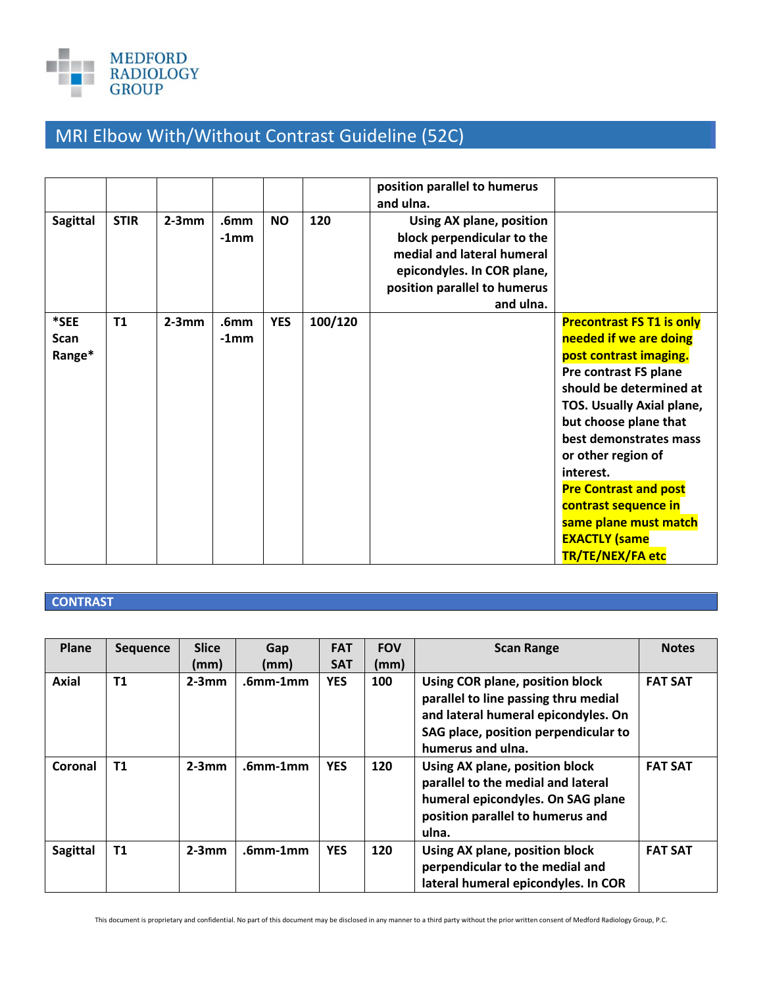

## MRI Elbow With/Without Contrast Guideline (52C)

|                        |             |         |                            |            |         | position parallel to humerus<br>and ulna.                                                                                                                       |                                                                                                                                                                                                                                                                                                                                                                                          |
|------------------------|-------------|---------|----------------------------|------------|---------|-----------------------------------------------------------------------------------------------------------------------------------------------------------------|------------------------------------------------------------------------------------------------------------------------------------------------------------------------------------------------------------------------------------------------------------------------------------------------------------------------------------------------------------------------------------------|
| <b>Sagittal</b>        | <b>STIR</b> | $2-3mm$ | .6mm<br>$-1$ mm            | <b>NO</b>  | 120     | Using AX plane, position<br>block perpendicular to the<br>medial and lateral humeral<br>epicondyles. In COR plane,<br>position parallel to humerus<br>and ulna. |                                                                                                                                                                                                                                                                                                                                                                                          |
| *SEE<br>Scan<br>Range* | T1          | $2-3mm$ | .6 <sub>mm</sub><br>$-1mm$ | <b>YES</b> | 100/120 |                                                                                                                                                                 | <b>Precontrast FS T1 is only</b><br>needed if we are doing<br>post contrast imaging.<br>Pre contrast FS plane<br>should be determined at<br>TOS. Usually Axial plane,<br>but choose plane that<br>best demonstrates mass<br>or other region of<br>interest.<br><b>Pre Contrast and post</b><br>contrast sequence in<br>same plane must match<br><b>EXACTLY (same</b><br>TR/TE/NEX/FA etc |

## **CONTRAST**

| Plane           | <b>Sequence</b> | <b>Slice</b><br>(mm) | Gap<br>(mm) | <b>FAT</b><br><b>SAT</b> | <b>FOV</b><br>(mm) | <b>Scan Range</b>                                                                                                                                                           | <b>Notes</b>   |
|-----------------|-----------------|----------------------|-------------|--------------------------|--------------------|-----------------------------------------------------------------------------------------------------------------------------------------------------------------------------|----------------|
| <b>Axial</b>    | T <sub>1</sub>  | $2-3mm$              | $.6mm-1mm$  | <b>YES</b>               | 100                | Using COR plane, position block<br>parallel to line passing thru medial<br>and lateral humeral epicondyles. On<br>SAG place, position perpendicular to<br>humerus and ulna. | <b>FAT SAT</b> |
| Coronal         | T <sub>1</sub>  | $2-3mm$              | $.6mm-1mm$  | <b>YES</b>               | 120                | Using AX plane, position block<br>parallel to the medial and lateral<br>humeral epicondyles. On SAG plane<br>position parallel to humerus and<br>ulna.                      | <b>FAT SAT</b> |
| <b>Sagittal</b> | <b>T1</b>       | $2-3mm$              | $.6mm-1mm$  | <b>YES</b>               | 120                | Using AX plane, position block<br>perpendicular to the medial and<br>lateral humeral epicondyles. In COR                                                                    | <b>FAT SAT</b> |

This document is proprietary and confidential. No part of this document may be disclosed in any manner to a third party without the prior written consent of Medford Radiology Group, P.C.